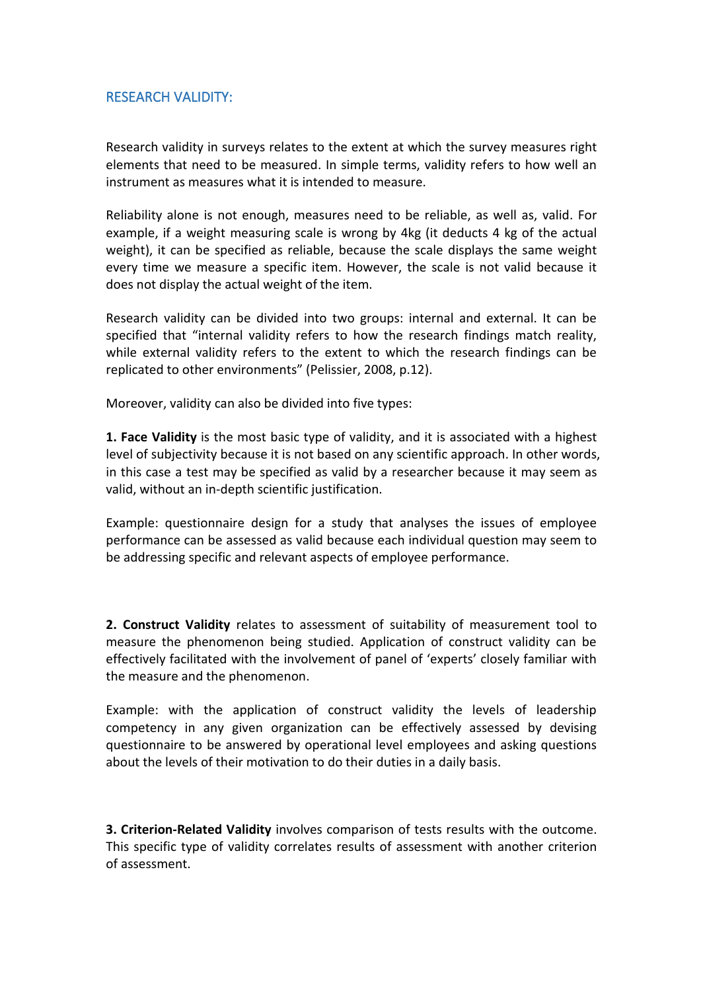## RESEARCH VALIDITY:

Research validity in surveys relates to the extent at which the survey measures right elements that need to be measured. In simple terms, validity refers to how well an

instrument as measures what it is intended to measure.<br>[Reliability](https://research-methodology.net/research-methodology/reliability-validity-and-repeatability/research-reliability/) alone is not enough, measures need to be reliable, as well as, valid. For example, if a weight measuring scale is wrong by 4kg (it deducts 4 kg of the actual weight), it can be specified as reliable, because the scale displays the same weight every time we measure a specific item. However, the scale is not valid because it does not display the actual weight of the item.

Research validity can be divided into two groups: internal and external. It can be specified that "internal validity refers to how the research findings match reality, while external validity refers to the extent to which the research findings can be replicated to other environments" (Pelissier, 2008, p.12).

Moreover, validity can also be divided into five types:

**1. Face Validity** is the most basic type of validity, and it is associated with a highest level of subjectivity because it is not based on any scientific approach. In other words, in this case a test may be specified as valid by a researcher because it may seem as valid, without an in-depth scientific justification.

Example: questionnaire design for a study that analyses the issues of employee performance can be assessed as valid because each individual question may seem to be addressing specific and relevant aspects of employee performance.

**2. Construct Validity** relates to assessment of suitability of measurement tool to measure the phenomenon being studied. Application of construct validity can be effectively facilitated with the involvement of panel of 'experts' closely familiar with the measure and the phenomenon.

Example: with the application of construct validity the levels of leadership competency in any given organization can be effectively assessed by devising questionnaire to be answered by operational level employees and asking questions about the levels of their motivation to do their duties in a daily basis.

**3. Criterion-Related Validity** involves comparison of tests results with the outcome. This specific type of validity correlates results of assessment with another criterion of assessment.